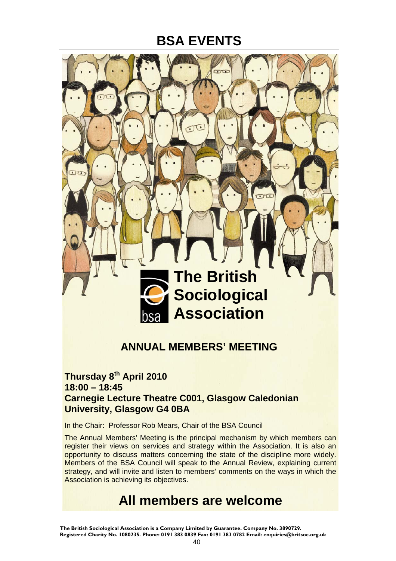

#### **ANNUAL MEMBERS' MEETING**

#### **Thursday 8th April 2010 18:00 – 18:45 Carnegie Lecture Theatre C001, Glasgow Caledonian University, Glasgow G4 0BA**

In the Chair: Professor Rob Mears, Chair of the BSA Council

The Annual Members' Meeting is the principal mechanism by which members can register their views on services and strategy within the Association. It is also an opportunity to discuss matters concerning the state of the discipline more widely. Members of the BSA Council will speak to the Annual Review, explaining current strategy, and will invite and listen to members' comments on the ways in which the Association is achieving its objectives.

### **All members are welcome**

**The British Sociological Association is a Company Limited by Guarantee. Company No. 3890729. Registered Charity No. 1080235. Phone: 0191 383 0839 Fax: 0191 383 0782 Email: enquiries@britsoc.org.uk**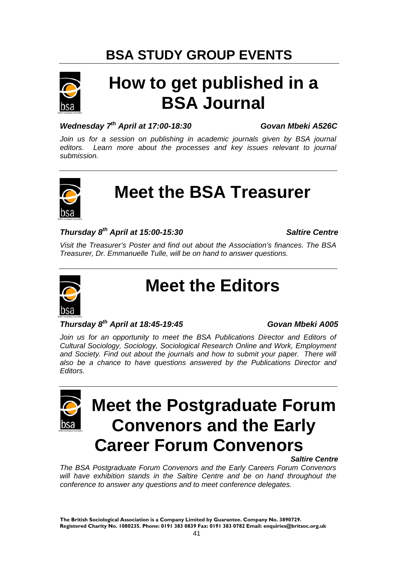

# **How to get published in a BSA Journal**

#### *Wednesday 7th April at 17:00-18:30 Govan Mbeki A526C*

Join us for a session on publishing in academic journals given by BSA journal *editors. Learn more about the processes and key issues relevant to journal submission.* 



# **Meet the BSA Treasurer**

#### *Thursday 8th April at 15:00-15:30 Saltire Centre*

*Visit the Treasurer's Poster and find out about the Association's finances. The BSA Treasurer, Dr. Emmanuelle Tulle, will be on hand to answer questions.* 



# **Meet the Editors**

#### *Thursday 8th April at 18:45-19:45 Govan Mbeki A005*

Join us for an opportunity to meet the BSA Publications Director and Editors of *Cultural Sociology, Sociology, Sociological Research Online and Work, Employment*  and Society. Find out about the journals and how to submit your paper. There will *also be a chance to have questions answered by the Publications Director and Editors.* 



# **Meet the Postgraduate Forum Convenors and the Early Career Forum Convenors**

 *Saltire Centre* 

*The BSA Postgraduate Forum Convenors and the Early Careers Forum Convenors*  will have exhibition stands in the Saltire Centre and be on hand throughout the *conference to answer any questions and to meet conference delegates.*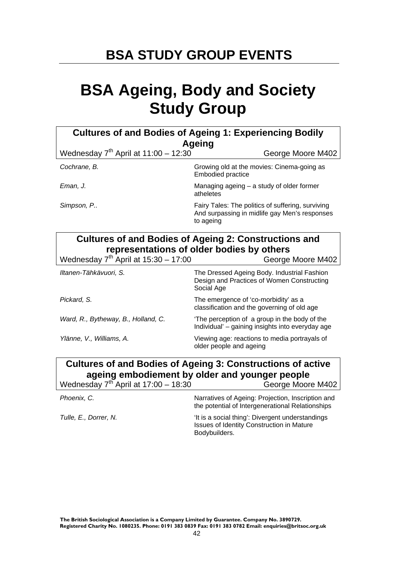# **BSA Ageing, Body and Society Study Group**

| <b>Cultures of and Bodies of Ageing 1: Experiencing Bodily</b><br><b>Ageing</b> |                                                                                                                 |  |
|---------------------------------------------------------------------------------|-----------------------------------------------------------------------------------------------------------------|--|
| Wednesday $7th$ April at 11:00 - 12:30                                          | George Moore M402                                                                                               |  |
| Cochrane, B.                                                                    | Growing old at the movies: Cinema-going as<br><b>Embodied practice</b>                                          |  |
| Eman, J.                                                                        | Managing ageing - a study of older former<br>atheletes                                                          |  |
| Simpson, P                                                                      | Fairy Tales: The politics of suffering, surviving<br>And surpassing in midlife gay Men's responses<br>to ageing |  |

| <b>Cultures of and Bodies of Ageing 2: Constructions and</b> |  |
|--------------------------------------------------------------|--|
| representations of older bodies by others                    |  |

| Wednesday $7^{th}$ April at $15:30 - 17:00$ | George Moore M402                                                                                       |
|---------------------------------------------|---------------------------------------------------------------------------------------------------------|
| Iltanen-Tähkävuori, S.                      | The Dressed Ageing Body. Industrial Fashion<br>Design and Practices of Women Constructing<br>Social Age |
| Pickard, S.                                 | The emergence of 'co-morbidity' as a<br>classification and the governing of old age                     |
| Ward, R., Bytheway, B., Holland, C.         | The perception of a group in the body of the<br>Individual' - gaining insights into everyday age        |
| Ylänne, V., Williams, A.                    | Viewing age: reactions to media portrayals of<br>older people and ageing                                |

#### **Cultures of and Bodies of Ageing 3: Constructions of active ageing embodiement by older and younger people**  Wednesday  $7<sup>th</sup>$  April at 17:00 – 18:30 George Moore M402

| $\cdots$              | .<br>$\sim$                                                                                                    |
|-----------------------|----------------------------------------------------------------------------------------------------------------|
| Phoenix, C.           | Narratives of Ageing: Projection, Inscription and<br>the potential of Intergenerational Relationships          |
| Tulle, E., Dorrer, N. | 'It is a social thing': Divergent understandings<br>Issues of Identity Construction in Mature<br>Bodybuilders. |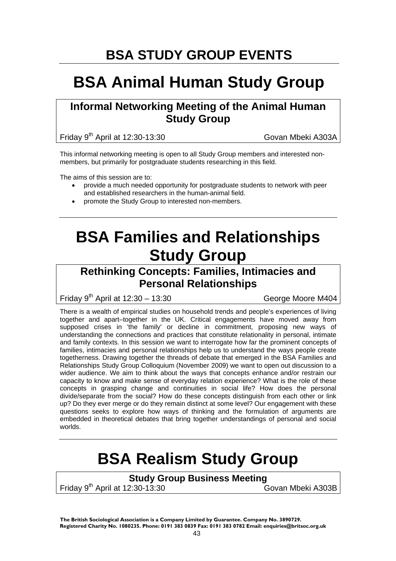### **BSA Animal Human Study Group**

#### **Informal Networking Meeting of the Animal Human Study Group**

Friday 9<sup>th</sup> April at 12:30-13:30 Govan Mbeki A303A

This informal networking meeting is open to all Study Group members and interested nonmembers, but primarily for postgraduate students researching in this field.

The aims of this session are to:

- provide a much needed opportunity for postgraduate students to network with peer and established researchers in the human-animal field.
- promote the Study Group to interested non-members.

## **BSA Families and Relationships Study Group**

#### **Rethinking Concepts: Families, Intimacies and Personal Relationships**

Friday  $9^{th}$  April at 12:30 – 13:30 George Moore M404

There is a wealth of empirical studies on household trends and people's experiences of living together and apart–together in the UK. Critical engagements have moved away from supposed crises in 'the family' or decline in commitment, proposing new ways of understanding the connections and practices that constitute relationality in personal, intimate and family contexts. In this session we want to interrogate how far the prominent concepts of families, intimacies and personal relationships help us to understand the ways people create togetherness. Drawing together the threads of debate that emerged in the BSA Families and Relationships Study Group Colloquium (November 2009) we want to open out discussion to a wider audience. We aim to think about the ways that concepts enhance and/or restrain our capacity to know and make sense of everyday relation experience? What is the role of these concepts in grasping change and continuities in social life? How does the personal divide/separate from the social? How do these concepts distinguish from each other or link up? Do they ever merge or do they remain distinct at some level? Our engagement with these questions seeks to explore how ways of thinking and the formulation of arguments are embedded in theoretical debates that bring together understandings of personal and social worlds.

### **BSA Realism Study Group**

#### **Study Group Business Meeting**

Friday 9<sup>th</sup> April at 12:30-13:30 Govan Mbeki A303B

**The British Sociological Association is a Company Limited by Guarantee. Company No. 3890729. Registered Charity No. 1080235. Phone: 0191 383 0839 Fax: 0191 383 0782 Email: enquiries@britsoc.org.uk**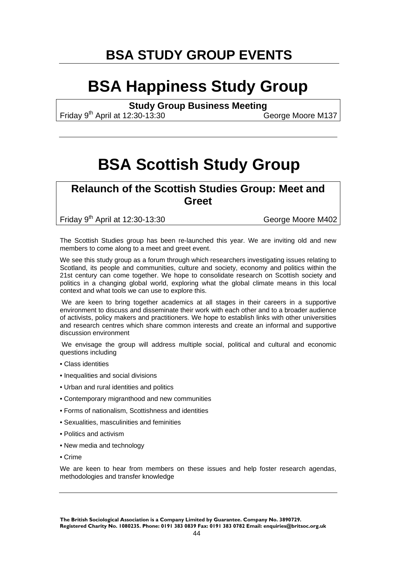### **BSA Happiness Study Group**

**Study Group Business Meeting** 

Friday 9<sup>th</sup> April at 12:30-13:30

### **BSA Scottish Study Group**

#### **Relaunch of the Scottish Studies Group: Meet and Greet**

Friday 9<sup>th</sup> April at 12:30-13:30 George Moore M402

The Scottish Studies group has been re-launched this year. We are inviting old and new members to come along to a meet and greet event.

We see this study group as a forum through which researchers investigating issues relating to Scotland, its people and communities, culture and society, economy and politics within the 21st century can come together. We hope to consolidate research on Scottish society and politics in a changing global world, exploring what the global climate means in this local context and what tools we can use to explore this.

 We are keen to bring together academics at all stages in their careers in a supportive environment to discuss and disseminate their work with each other and to a broader audience of activists, policy makers and practitioners. We hope to establish links with other universities and research centres which share common interests and create an informal and supportive discussion environment

 We envisage the group will address multiple social, political and cultural and economic questions including

- Class identities
- Inequalities and social divisions
- Urban and rural identities and politics
- Contemporary migranthood and new communities
- Forms of nationalism, Scottishness and identities
- Sexualities, masculinities and feminities
- Politics and activism
- New media and technology
- Crime

We are keen to hear from members on these issues and help foster research agendas, methodologies and transfer knowledge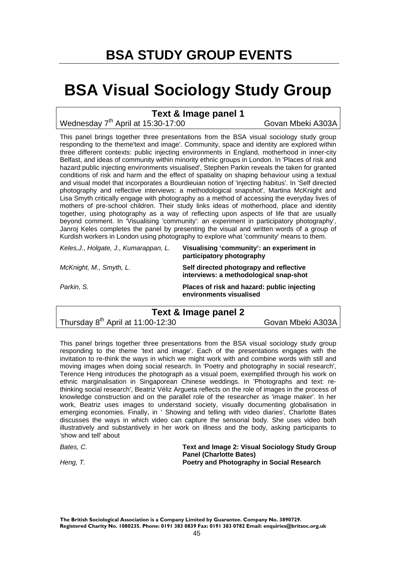### **BSA Visual Sociology Study Group**

#### **Text & Image panel 1**

Wednesday 7<sup>th</sup> April at 15:30-17:00 Govan Mbeki A303A

This panel brings together three presentations from the BSA visual sociology study group responding to the theme'text and image'. Community, space and identity are explored within three different contexts: public injecting environments in England, motherhood in inner-city Belfast, and ideas of community within minority ethnic groups in London. In 'Places of risk and hazard:public injecting environments visualised', Stephen Parkin reveals the taken for granted conditions of risk and harm and the effect of spatiality on shaping behaviour using a textual and visual model that incorporates a Bourdieuian notion of 'injecting habitus'. In 'Self directed photography and reflective interviews: a methodological snapshot', Martina McKnight and Lisa Smyth critically engage with photography as a method of accessing the everyday lives of mothers of pre-school children. Their study links ideas of motherhood, place and identity together, using photography as a way of reflecting upon aspects of life that are usually beyond comment. In 'Visualising 'community': an experiment in participatory photography', Janroj Keles completes the panel by presenting the visual and written words of a group of Kurdish workers in London using photography to explore what 'community' means to them.

| Keles, J., Holgate, J., Kumarappan, L. | Visualising 'community': an experiment in<br>participatory photography            |
|----------------------------------------|-----------------------------------------------------------------------------------|
| McKnight, M., Smyth, L.                | Self directed photograpy and reflective<br>interviews: a methodological snap-shot |
| Parkin, S.                             | Places of risk and hazard: public injecting<br>environments visualised            |

#### **Text & Image panel 2**

Thursday 8<sup>th</sup> April at 11:00-12:30 Govan Mbeki A303A

This panel brings together three presentations from the BSA visual sociology study group responding to the theme 'text and image'. Each of the presentations engages with the invitation to re-think the ways in which we might work with and combine words with still and moving images when doing social research. In 'Poetry and photography in social research', Terence Heng introduces the photograph as a visual poem, exemplified through his work on ethnic marginalisation in Singaporean Chinese weddings. In 'Photographs and text: rethinking social research', Beatriz Véliz Argueta reflects on the role of images in the process of knowledge construction and on the parallel role of the researcher as 'image maker'. In her work, Beatriz uses images to understand society, visually documenting globalisation in emerging economies. Finally, in ' Showing and telling with video diaries', Charlotte Bates discusses the ways in which video can capture the sensorial body. She uses video both illustratively and substantively in her work on illness and the body, asking participants to 'show and tell' about

| Bates. C. | <b>Text and Image 2: Visual Sociology Study Group</b> |
|-----------|-------------------------------------------------------|
|           | <b>Panel (Charlotte Bates)</b>                        |
| Heng, T.  | <b>Poetry and Photography in Social Research</b>      |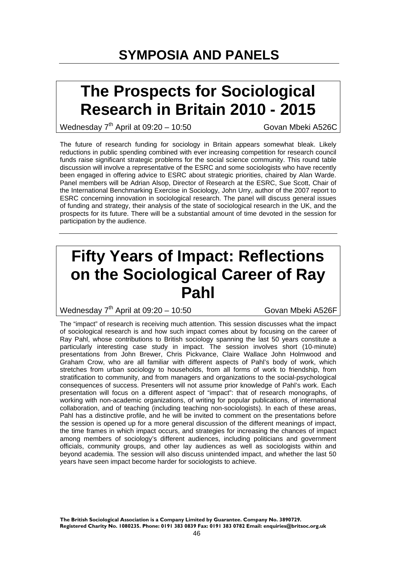### **The Prospects for Sociological Research in Britain 2010 - 2015**

Wednesday  $7<sup>th</sup>$  April at 09:20 – 10:50 Govan Mbeki A526C

The future of research funding for sociology in Britain appears somewhat bleak. Likely reductions in public spending combined with ever increasing competition for research council funds raise significant strategic problems for the social science community. This round table discussion will involve a representative of the ESRC and some sociologists who have recently been engaged in offering advice to ESRC about strategic priorities, chaired by Alan Warde. Panel members will be Adrian Alsop, Director of Research at the ESRC, Sue Scott, Chair of the International Benchmarking Exercise in Sociology, John Urry, author of the 2007 report to ESRC concerning innovation in sociological research. The panel will discuss general issues of funding and strategy, their analysis of the state of sociological research in the UK, and the prospects for its future. There will be a substantial amount of time devoted in the session for participation by the audience.

### **Fifty Years of Impact: Reflections on the Sociological Career of Ray Pahl**

Wednesday  $7<sup>th</sup>$  April at 09:20 – 10:50 Govan Mbeki A526F

The "impact" of research is receiving much attention. This session discusses what the impact of sociological research is and how such impact comes about by focusing on the career of Ray Pahl, whose contributions to British sociology spanning the last 50 years constitute a particularly interesting case study in impact. The session involves short (10-minute) presentations from John Brewer, Chris Pickvance, Claire Wallace John Holmwood and Graham Crow, who are all familiar with different aspects of Pahl's body of work, which stretches from urban sociology to households, from all forms of work to friendship, from stratification to community, and from managers and organizations to the social-psychological consequences of success. Presenters will not assume prior knowledge of Pahl's work. Each presentation will focus on a different aspect of "impact": that of research monographs, of working with non-academic organizations, of writing for popular publications, of international collaboration, and of teaching (including teaching non-sociologists). In each of these areas, Pahl has a distinctive profile, and he will be invited to comment on the presentations before the session is opened up for a more general discussion of the different meanings of impact, the time frames in which impact occurs, and strategies for increasing the chances of impact among members of sociology's different audiences, including politicians and government officials, community groups, and other lay audiences as well as sociologists within and beyond academia. The session will also discuss unintended impact, and whether the last 50 years have seen impact become harder for sociologists to achieve.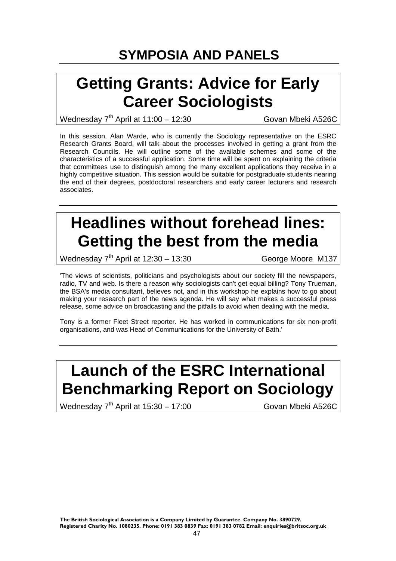### **Getting Grants: Advice for Early Career Sociologists**

Wednesday 7<sup>th</sup> April at 11:00 - 12:30 Govan Mbeki A526C

In this session, Alan Warde, who is currently the Sociology representative on the ESRC Research Grants Board, will talk about the processes involved in getting a grant from the Research Councils. He will outline some of the available schemes and some of the characteristics of a successful application. Some time will be spent on explaining the criteria that committees use to distinguish among the many excellent applications they receive in a highly competitive situation. This session would be suitable for postgraduate students nearing the end of their degrees, postdoctoral researchers and early career lecturers and research associates.

## **Headlines without forehead lines: Getting the best from the media**

Wednesday  $7<sup>th</sup>$  April at 12:30 – 13:30 George Moore M137

'The views of scientists, politicians and psychologists about our society fill the newspapers, radio, TV and web. Is there a reason why sociologists can't get equal billing? Tony Trueman, the BSA's media consultant, believes not, and in this workshop he explains how to go about making your research part of the news agenda. He will say what makes a successful press release, some advice on broadcasting and the pitfalls to avoid when dealing with the media.

Tony is a former Fleet Street reporter. He has worked in communications for six non-profit organisations, and was Head of Communications for the University of Bath.'

# **Launch of the ESRC International Benchmarking Report on Sociology**

Wednesday  $7<sup>th</sup>$  April at 15:30 – 17:00 Govan Mbeki A526C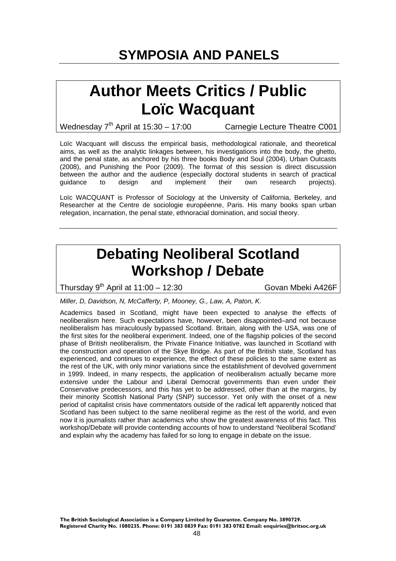### **Author Meets Critics / Public Loïc Wacquant**

Wednesday  $7<sup>th</sup>$  April at 15:30 – 17:00 Carnegie Lecture Theatre C001

Loïc Wacquant will discuss the empirical basis, methodological rationale, and theoretical aims, as well as the analytic linkages between, his investigations into the body, the ghetto, and the penal state, as anchored by his three books Body and Soul (2004), Urban Outcasts (2008), and Punishing the Poor (2009). The format of this session is direct discussion between the author and the audience (especially doctoral students in search of practical guidance to design and implement their own research projects).

Loïc WACQUANT is Professor of Sociology at the University of California, Berkeley, and Researcher at the Centre de sociologie européenne, Paris. His many books span urban relegation, incarnation, the penal state, ethnoracial domination, and social theory.

### **Debating Neoliberal Scotland Workshop / Debate**

Thursday  $9^{th}$  April at 11:00 – 12:30 Govan Mbeki A426F

*Miller, D, Davidson, N, McCafferty, P, Mooney, G., Law, A, Paton, K.*

Academics based in Scotland, might have been expected to analyse the effects of neoliberalism here. Such expectations have, however, been disappointed–and not because neoliberalism has miraculously bypassed Scotland. Britain, along with the USA, was one of the first sites for the neoliberal experiment. Indeed, one of the flagship policies of the second phase of British neoliberalism, the Private Finance Initiative, was launched in Scotland with the construction and operation of the Skye Bridge. As part of the British state, Scotland has experienced, and continues to experience, the effect of these policies to the same extent as the rest of the UK, with only minor variations since the establishment of devolved government in 1999. Indeed, in many respects, the application of neoliberalism actually became more extensive under the Labour and Liberal Democrat governments than even under their Conservative predecessors, and this has yet to be addressed, other than at the margins, by their minority Scottish National Party (SNP) successor. Yet only with the onset of a new period of capitalist crisis have commentators outside of the radical left apparently noticed that Scotland has been subject to the same neoliberal regime as the rest of the world, and even now it is journalists rather than academics who show the greatest awareness of this fact. This workshop/Debate will provide contending accounts of how to understand 'Neoliberal Scotland' and explain why the academy has failed for so long to engage in debate on the issue.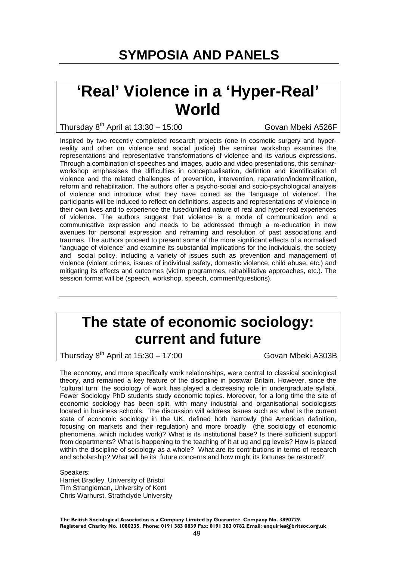### **'Real' Violence in a 'Hyper-Real' World**

Thursday  $8^{th}$  April at 13:30 – 15:00 Govan Mbeki A526F

Inspired by two recently completed research projects (one in cosmetic surgery and hyperreality and other on violence and social justice) the seminar workshop examines the representations and representative transformations of violence and its various expressions. Through a combination of speeches and images, audio and video presentations, this seminarworkshop emphasises the difficulties in conceptualisation, defintion and identification of violence and the related challenges of prevention, intervention, reparation/indemnification, reform and rehabilitation. The authors offer a psycho-social and socio-psychological analysis of violence and introduce what they have coined as the 'language of violence'. The participants will be induced to reflect on definitions, aspects and representations of violence in their own lives and to experience the fused/unified nature of real and hyper-real experiences of violence. The authors suggest that violence is a mode of communication and a communicative expression and needs to be addressed through a re-education in new avenues for personal expression and reframing and resolution of past associations and traumas. The authors proceed to present some of the more significant effects of a normalised 'language of violence' and examine its substantial implications for the individuals, the society and social policy, including a variety of issues such as prevention and management of violence (violent crimes, issues of individual safety, domestic violence, child abuse, etc.) and mitigating its effects and outcomes (victim programmes, rehabilitative approaches, etc.). The session format will be (speech, workshop, speech, comment/questions).

### **The state of economic sociology: current and future**

Thursday  $8^{th}$  April at  $15:30 - 17:00$  Govan Mbeki A303B

The economy, and more specifically work relationships, were central to classical sociological theory, and remained a key feature of the discipline in postwar Britain. However, since the 'cultural turn' the sociology of work has played a decreasing role in undergraduate syllabi. Fewer Sociology PhD students study economic topics. Moreover, for a long time the site of economic sociology has been split, with many industrial and organisational sociologists located in business schools. The discussion will address issues such as: what is the current state of economic sociology in the UK, defined both narrowly (the American definition, focusing on markets and their regulation) and more broadly (the sociology of economic phenomena, which includes work)? What is its institutional base? Is there sufficient support from departments? What is happening to the teaching of it at ug and pg levels? How is placed within the discipline of sociology as a whole? What are its contributions in terms of research and scholarship? What will be its future concerns and how might its fortunes be restored?

Speakers: Harriet Bradley, University of Bristol Tim Strangleman, University of Kent Chris Warhurst, Strathclyde University